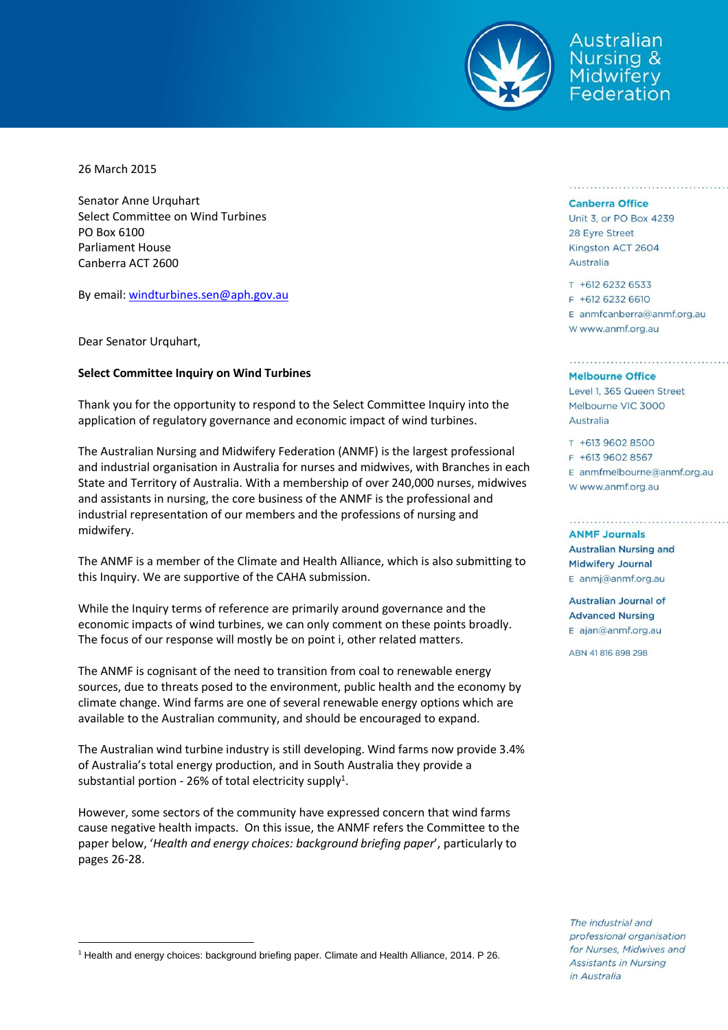

ustralian **Nursing &** Midwiferv ederation

26 March 2015

Senator Anne Urquhart Select Committee on Wind Turbines PO Box 6100 Parliament House Canberra ACT 2600

By email[: windturbines.sen@aph.gov.au](mailto:windturbines.sen@aph.gov.au)

Dear Senator Urquhart,

 $\overline{a}$ 

## **Select Committee Inquiry on Wind Turbines**

Thank you for the opportunity to respond to the Select Committee Inquiry into the application of regulatory governance and economic impact of wind turbines.

The Australian Nursing and Midwifery Federation (ANMF) is the largest professional and industrial organisation in Australia for nurses and midwives, with Branches in each State and Territory of Australia. With a membership of over 240,000 nurses, midwives and assistants in nursing, the core business of the ANMF is the professional and industrial representation of our members and the professions of nursing and midwifery.

The ANMF is a member of the Climate and Health Alliance, which is also submitting to this Inquiry. We are supportive of the CAHA submission.

While the Inquiry terms of reference are primarily around governance and the economic impacts of wind turbines, we can only comment on these points broadly. The focus of our response will mostly be on point i, other related matters.

The ANMF is cognisant of the need to transition from coal to renewable energy sources, due to threats posed to the environment, public health and the economy by climate change. Wind farms are one of several renewable energy options which are available to the Australian community, and should be encouraged to expand.

The Australian wind turbine industry is still developing. Wind farms now provide 3.4% of Australia's total energy production, and in South Australia they provide a substantial portion - 26% of total electricity supply<sup>1</sup>.

However, some sectors of the community have expressed concern that wind farms cause negative health impacts. On this issue, the ANMF refers the Committee to the paper below, '*Health and energy choices: background briefing paper*', particularly to pages 26-28.

## **Canberra Office**

Unit 3, or PO Box 4239 28 Eyre Street Kingston ACT 2604 Australia

T +612 6232 6533 F +612 6232 6610 E anmfcanberra@anmf.org.au w www.anmf.org.au

## **Melbourne Office**

Level 1, 365 Queen Street Melbourne VIC 3000 Australia

T +613 9602 8500 F +613 9602 8567  $E$  anmfmelbourne@anmf.org.au W www.anmf.org.au

**ANMF Journals Australian Nursing and Midwifery Journal** E anmj@anmf.org.au

**Australian Journal of Advanced Nursing** E ajan@anmf.org.au

ABN 41 816 898 298

The industrial and professional organisation for Nurses, Midwives and **Assistants in Nursing** in Australia

<sup>1</sup> Health and energy choices: background briefing paper. Climate and Health Alliance, 2014. P 26.